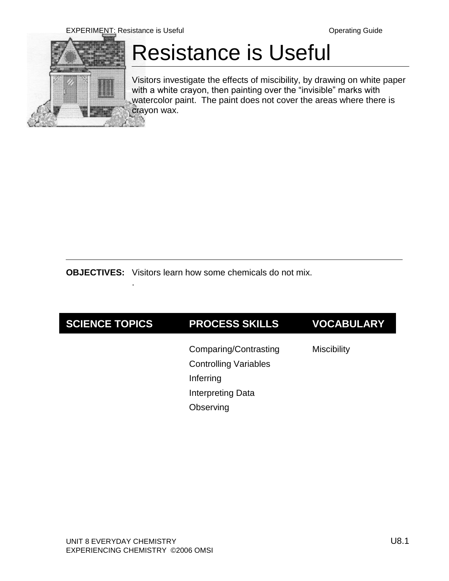

# Resistance is Useful

Visitors investigate the effects of miscibility, by drawing on white paper with a white crayon, then painting over the "invisible" marks with watercolor paint. The paint does not cover the areas where there is crayon wax.

**OBJECTIVES:** Visitors learn how some chemicals do not mix.

.

| Comparing/Contrasting<br><b>Miscibility</b>                                 | <b>VOCABULARY</b> |
|-----------------------------------------------------------------------------|-------------------|
| <b>Controlling Variables</b><br>Inferring<br>Interpreting Data<br>Observing |                   |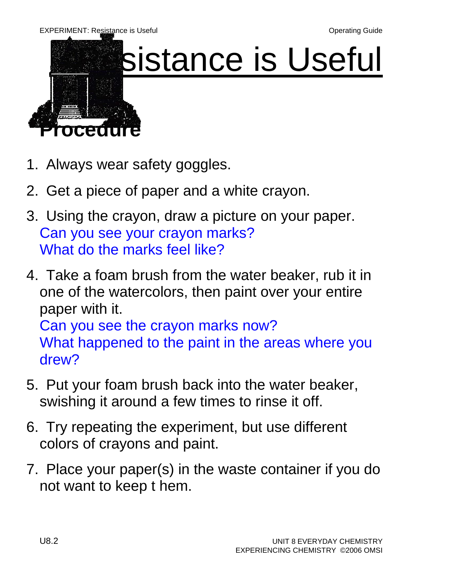

# sistance is Useful

- 1. Always wear safety goggles.
- 2. Get a piece of paper and a white crayon.
- 3. Using the crayon, draw a picture on your paper. Can you see your crayon marks? What do the marks feel like?
- 4. Take a foam brush from the water beaker, rub it in one of the watercolors, then paint over your entire paper with it. Can you see the crayon marks now? What happened to the paint in the areas where you drew?
- 5. Put your foam brush back into the water beaker, swishing it around a few times to rinse it off.
- 6. Try repeating the experiment, but use different colors of crayons and paint.
- 7. Place your paper(s) in the waste container if you do not want to keep t hem.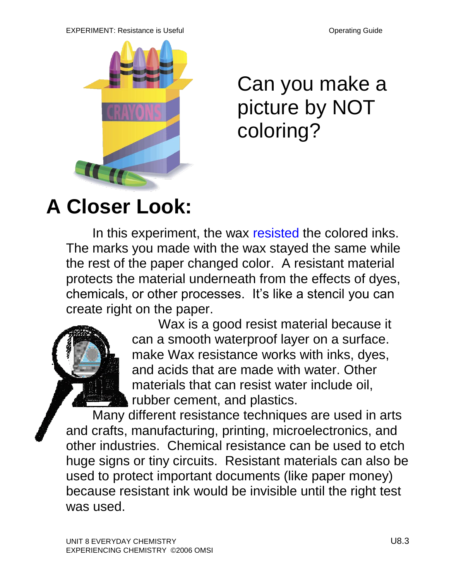#### EXPERIMENT: Resistance is Useful **Contract Contract Contract Contract Contract Contract Contract Contract Contract Contract Contract Contract Contract Contract Contract Contract Contract Contract Contract Contract Contract**



Can you make a picture by NOT coloring?

## **A Closer Look:**

In this experiment, the wax resisted the colored inks. The marks you made with the wax stayed the same while the rest of the paper changed color. A resistant material protects the material underneath from the effects of dyes, chemicals, or other processes. It's like a stencil you can create right on the paper.



Wax is a good resist material because it can a smooth waterproof layer on a surface. make Wax resistance works with inks, dyes, and acids that are made with water. Other materials that can resist water include oil, rubber cement, and plastics.

Many different resistance techniques are used in arts and crafts, manufacturing, printing, microelectronics, and other industries. Chemical resistance can be used to etch huge signs or tiny circuits. Resistant materials can also be used to protect important documents (like paper money) because resistant ink would be invisible until the right test was used.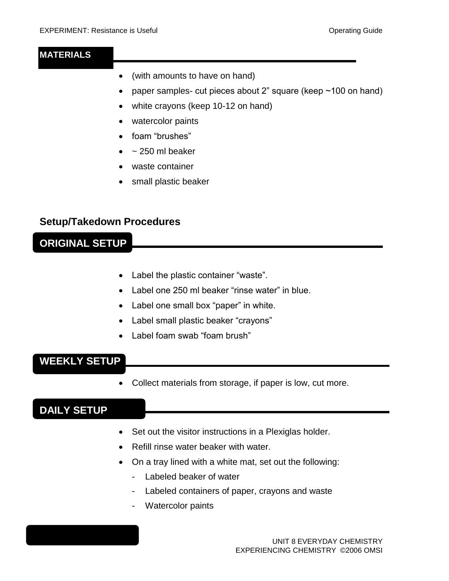#### **MATERIALS**

- (with amounts to have on hand)
- paper samples- cut pieces about 2" square (keep  $\sim$  100 on hand)
- white crayons (keep 10-12 on hand)
- watercolor paints
- foam "brushes"
- $\bullet$  ~ 250 ml beaker
- waste container
- small plastic beaker

#### **Setup/Takedown Procedures**

#### **ORIGINAL SETUP**

- Label the plastic container "waste".
- Label one 250 ml beaker "rinse water" in blue.
- Label one small box "paper" in white.
- Label small plastic beaker "crayons"
- Label foam swab "foam brush"

#### **WEEKLY SETUP**

Collect materials from storage, if paper is low, cut more.

## **DAILY SETUP**

- Set out the visitor instructions in a Plexiglas holder.
- Refill rinse water beaker with water.
- On a tray lined with a white mat, set out the following:
	- Labeled beaker of water
	- Labeled containers of paper, crayons and waste
	- Watercolor paints